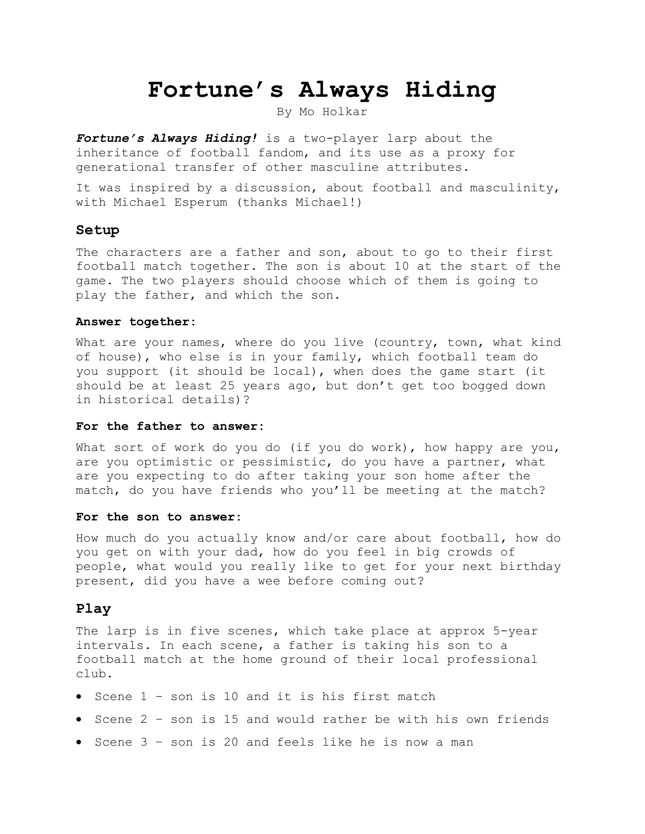# **Fortune's Always Hiding**

By Mo Holkar

*Fortune's Always Hiding!* is a two-player larp about the inheritance of football fandom, and its use as a proxy for generational transfer of other masculine attributes.

It was inspired by a discussion, about football and masculinity, with Michael Esperum (thanks Michael!)

### **Setup**

The characters are a father and son, about to go to their first football match together. The son is about 10 at the start of the game. The two players should choose which of them is going to play the father, and which the son.

#### **Answer together:**

What are your names, where do you live (country, town, what kind of house), who else is in your family, which football team do you support (it should be local), when does the game start (it should be at least 25 years ago, but don't get too bogged down in historical details)?

#### **For the father to answer:**

What sort of work do you do (if you do work), how happy are you, are you optimistic or pessimistic, do you have a partner, what are you expecting to do after taking your son home after the match, do you have friends who you'll be meeting at the match?

#### **For the son to answer:**

How much do you actually know and/or care about football, how do you get on with your dad, how do you feel in big crowds of people, what would you really like to get for your next birthday present, did you have a wee before coming out?

## **Play**

The larp is in five scenes, which take place at approx 5-year intervals. In each scene, a father is taking his son to a football match at the home ground of their local professional club.

- Scene 1 son is 10 and it is his first match
- Scene 2 son is 15 and would rather be with his own friends
- Scene 3 son is 20 and feels like he is now a man